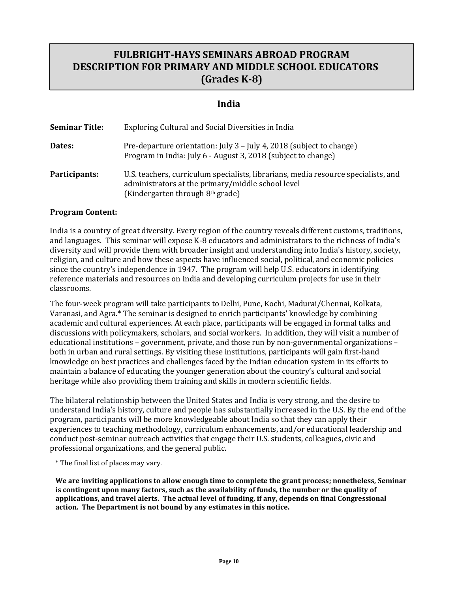# **FULBRIGHT-HAYS SEMINARS ABROAD PROGRAM DESCRIPTION FOR PRIMARY AND MIDDLE SCHOOL EDUCATORS (Grades K-8)**

### **India**

| <b>Seminar Title:</b> | Exploring Cultural and Social Diversities in India                                                                                                                                      |
|-----------------------|-----------------------------------------------------------------------------------------------------------------------------------------------------------------------------------------|
| Dates:                | Pre-departure orientation: July 3 - July 4, 2018 (subject to change)<br>Program in India: July 6 - August 3, 2018 (subject to change)                                                   |
| Participants:         | U.S. teachers, curriculum specialists, librarians, media resource specialists, and<br>administrators at the primary/middle school level<br>(Kindergarten through 8 <sup>th</sup> grade) |

### **Program Content:**

India is a country of great diversity. Every region of the country reveals different customs, traditions, and languages. This seminar will expose K-8 educators and administrators to the richness of India's diversity and will provide them with broader insight and understanding into India's history, society, religion, and culture and how these aspects have influenced social, political, and economic policies since the country's independence in 1947. The program will help U.S. educators in identifying reference materials and resources on India and developing curriculum projects for use in their classrooms.

The four-week program will take participants to Delhi, Pune, Kochi, Madurai/Chennai, Kolkata, Varanasi, and Agra.\* The seminar is designed to enrich participants' knowledge by combining academic and cultural experiences. At each place, participants will be engaged in formal talks and discussions with policymakers, scholars, and social workers. In addition, they will visit a number of educational institutions – government, private, and those run by non-governmental organizations – both in urban and rural settings. By visiting these institutions, participants will gain first-hand knowledge on best practices and challenges faced by the Indian education system in its efforts to maintain a balance of educating the younger generation about the country's cultural and social heritage while also providing them training and skills in modern scientific fields.

The bilateral relationship between the United States and India is very strong, and the desire to understand India's history, culture and people has substantially increased in the U.S. By the end of the program, participants will be more knowledgeable about India so that they can apply their experiences to teaching methodology, curriculum enhancements, and/or educational leadership and conduct post-seminar outreach activities that engage their U.S. students, colleagues, civic and professional organizations, and the general public.

\* The final list of places may vary.

**We are inviting applications to allow enough time to complete the grant process; nonetheless, Seminar is contingent upon many factors, such as the availability of funds, the number or the quality of applications, and travel alerts. The actual level of funding, if any, depends on final Congressional action. The Department is not bound by any estimates in this notice.**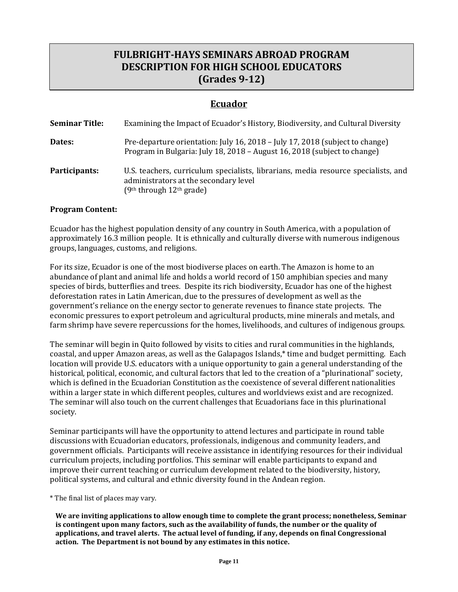# **FULBRIGHT-HAYS SEMINARS ABROAD PROGRAM DESCRIPTION FOR HIGH SCHOOL EDUCATORS (Grades 9-12)**

### **Ecuador**

| <b>Seminar Title:</b> | Examining the Impact of Ecuador's History, Biodiversity, and Cultural Diversity                                                                             |
|-----------------------|-------------------------------------------------------------------------------------------------------------------------------------------------------------|
| Dates:                | Pre-departure orientation: July 16, 2018 - July 17, 2018 (subject to change)<br>Program in Bulgaria: July 18, 2018 - August 16, 2018 (subject to change)    |
| Participants:         | U.S. teachers, curriculum specialists, librarians, media resource specialists, and<br>administrators at the secondary level<br>$(9th$ through $12th$ grade) |

### **Program Content:**

Ecuador has the highest population density of any country in South America, with a population of approximately 16.3 million people. It is ethnically and culturally diverse with numerous indigenous groups, languages, customs, and religions.

For its size, Ecuador is one of the most biodiverse places on earth. The Amazon is home to an abundance of plant and animal life and holds a world record of 150 amphibian species and many species of birds, butterflies and trees. Despite its rich biodiversity, Ecuador has one of the highest deforestation rates in Latin American, due to the pressures of development as well as the government's reliance on the energy sector to generate revenues to finance state projects. The economic pressures to export petroleum and agricultural products, mine minerals and metals, and farm shrimp have severe repercussions for the homes, livelihoods, and cultures of indigenous groups.

The seminar will begin in Quito followed by visits to cities and rural communities in the highlands, coastal, and upper Amazon areas, as well as the Galapagos Islands,\* time and budget permitting. Each location will provide U.S. educators with a unique opportunity to gain a general understanding of the historical, political, economic, and cultural factors that led to the creation of a "plurinational" society, which is defined in the Ecuadorian Constitution as the coexistence of several different nationalities within a larger state in which different peoples, cultures and worldviews exist and are recognized. The seminar will also touch on the current challenges that Ecuadorians face in this plurinational society.

Seminar participants will have the opportunity to attend lectures and participate in round table discussions with Ecuadorian educators, professionals, indigenous and community leaders, and government officials. Participants will receive assistance in identifying resources for their individual curriculum projects, including portfolios. This seminar will enable participants to expand and improve their current teaching or curriculum development related to the biodiversity, history, political systems, and cultural and ethnic diversity found in the Andean region.

\* The final list of places may vary.

**We are inviting applications to allow enough time to complete the grant process; nonetheless, Seminar is contingent upon many factors, such as the availability of funds, the number or the quality of applications, and travel alerts. The actual level of funding, if any, depends on final Congressional action. The Department is not bound by any estimates in this notice.**